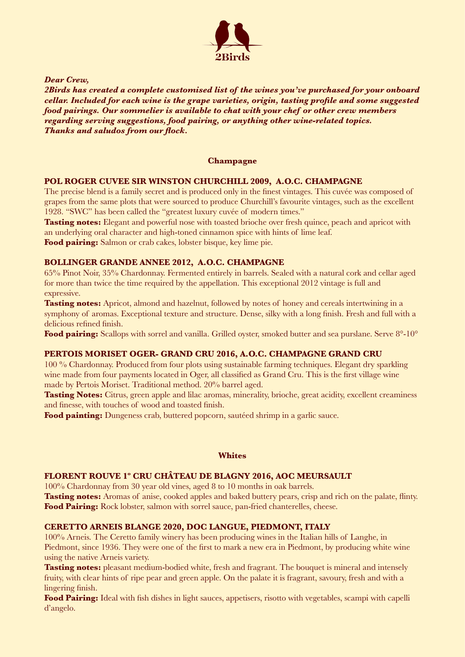

*Dear Crew,*

*2Birds has created a complete customised list of the wines you've purchased for your onboard cellar. Included for each wine is the grape varieties, origin, tasting profile and some suggested food pairings. Our sommelier is available to chat with your chef or other crew members regarding serving suggestions, food pairing, or anything other wine-related topics. Thanks and saludos from our flock.*

### **Champagne**

### **POL ROGER CUVEE SIR WINSTON CHURCHILL 2009, A.O.C. CHAMPAGNE**

The precise blend is a family secret and is produced only in the finest vintages. This cuvée was composed of grapes from the same plots that were sourced to produce Churchill's favourite vintages, such as the excellent 1928. "SWC" has been called the "greatest luxury cuvée of modern times."

**Tasting notes:** Elegant and powerful nose with toasted brioche over fresh quince, peach and apricot with an underlying oral character and high-toned cinnamon spice with hints of lime leaf.

**Food pairing:** Salmon or crab cakes, lobster bisque, key lime pie.

### **BOLLINGER GRANDE ANNEE 2012, A.O.C. CHAMPAGNE**

65% Pinot Noir, 35% Chardonnay. Fermented entirely in barrels. Sealed with a natural cork and cellar aged for more than twice the time required by the appellation. This exceptional 2012 vintage is full and expressive.

**Tasting notes:** Apricot, almond and hazelnut, followed by notes of honey and cereals intertwining in a symphony of aromas. Exceptional texture and structure. Dense, silky with a long finish. Fresh and full with a delicious refined finish.

Food pairing: Scallops with sorrel and vanilla. Grilled oyster, smoked butter and sea purslane. Serve 8°-10°

# **PERTOIS MORISET OGER- GRAND CRU 2016, A.O.C. CHAMPAGNE GRAND CRU**

100 % Chardonnay. Produced from four plots using sustainable farming techniques. Elegant dry sparkling wine made from four payments located in Oger, all classified as Grand Cru. This is the first village wine made by Pertois Moriset. Traditional method. 20% barrel aged.

**Tasting Notes:** Citrus, green apple and lilac aromas, minerality, brioche, great acidity, excellent creaminess and finesse, with touches of wood and toasted finish.

**Food painting:** Dungeness crab, buttered popcorn, sautéed shrimp in a garlic sauce.

#### **Whites**

# **FLORENT ROUVE 1º CRU CHÂTEAU DE BLAGNY 2016, AOC MEURSAULT**

100% Chardonnay from 30 year old vines, aged 8 to 10 months in oak barrels.

**Tasting notes:** Aromas of anise, cooked apples and baked buttery pears, crisp and rich on the palate, flinty. **Food Pairing:** Rock lobster, salmon with sorrel sauce, pan-fried chanterelles, cheese.

# **CERETTO ARNEIS BLANGE 2020[, D](https://www.decantalo.com/es/en/wine/q/do_doc-langue/)OC LANGUE, PIEDMONT, ITALY**

100% Arneis. The Ceretto family winery has been producing wines in the Italian hills of Langhe, in Piedmont, since 1936. They were one of the first to mark a new era in Piedmont, by producing white wine using the native Arneis variety.

**Tasting notes:** pleasant medium-bodied white, fresh and fragrant. The bouquet is mineral and intensely fruity, with clear hints of ripe pear and green apple. On the palate it is fragrant, savoury, fresh and with a lingering finish.

**Food Pairing:** Ideal with fish dishes in light sauces, appetisers, risotto with vegetables, scampi with capelli d'angelo.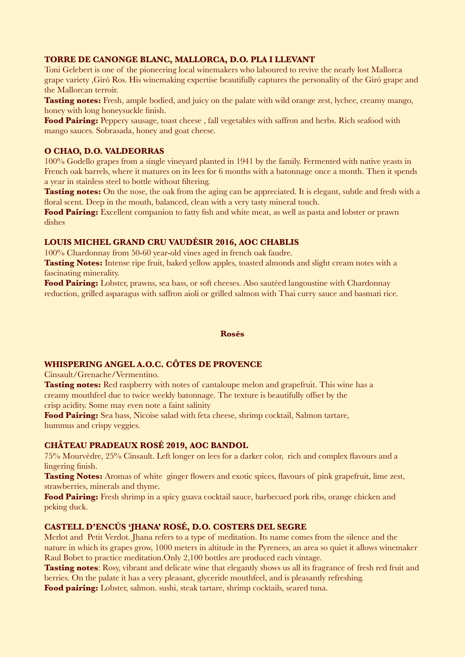### **TORRE DE CANONGE BLANC, MALLORCA, D.O. PLA I LLEVANT**

Toni Gelebert is one of the pioneering local winemakers who laboured to revive the nearly lost Mallorca grape variety ,Giró Ros. His winemaking expertise beautifully captures the personality of the Giró grape and the Mallorcan terroir.

**Tasting notes:** Fresh, ample bodied, and juicy on the palate with wild orange zest, lychee, creamy mango, honey with long honeysuckle finish.

**Food Pairing:** Peppery sausage, toast cheese, fall vegetables with saffron and herbs. Rich seafood with mango sauces. Sobrasada, honey and goat cheese.

#### **O CHAO, D.O. VALDEORRAS**

100% Godello grapes from a single vineyard planted in 1941 by the family. Fermented with native yeasts in French oak barrels, where it matures on its lees for 6 months with a batonnage once a month. Then it spends a year in stainless steel to bottle without filtering.

**Tasting notes:** On the nose, the oak from the aging can be appreciated. It is elegant, subtle and fresh with a floral scent. Deep in the mouth, balanced, clean with a very tasty mineral touch.

**Food Pairing:** Excellent companion to fatty fish and white meat, as well as pasta and lobster or prawn dishes

### **LOUIS MICHEL GRAND CRU VAUDÉSIR 2016, AOC CHABLIS**

100% Chardonnay from 50-60 year-old vines aged in french oak faudre.

**Tasting Notes:** Intense ripe fruit, baked yellow apples, toasted almonds and slight cream notes with a fascinating minerality.

**Food Pairing:** Lobster, prawns, sea bass, or soft cheeses. Also sautéed langoustine with Chardonnay reduction, grilled asparagus with saffron aioli or grilled salmon with Thai curry sauce and basmati rice.

#### **Rosés**

### **WHISPERING ANGEL A.O.C. CÔTES DE PROVENCE**

Cinsault/Grenache/Vermentino.

**Tasting notes:** Red raspberry with notes of cantaloupe melon and grapefruit. This wine has a creamy mouthfeel due to twice weekly batonnage. The texture is beautifully offset by the crisp acidity. Some may even note a faint salinity

**Food Pairing:** Sea bass, Nicoise salad with feta cheese, shrimp cocktail, Salmon tartare, hummus and crispy veggies.

#### **CHÂTEAU PRADEAUX ROSÉ 2019, AOC BANDOL**

75% Mourvèdre, 25% Cinsault. Left longer on lees for a darker color, rich and complex flavours and a lingering finish.

**Tasting Notes:** Aromas of white ginger flowers and exotic spices, flavours of pink grapefruit, lime zest, strawberries, minerals and thyme.

**Food Pairing:** Fresh shrimp in a spicy guava cocktail sauce, barbecued pork ribs, orange chicken and peking duck.

#### **CASTELL D'ENCÚS 'JHANA' ROSÉ, D.O. COSTERS DEL SEGRE**

Merlot and Petit Verdot. Jhana refers to a type of meditation. Its name comes from the silence and the nature in which its grapes grow, 1000 meters in altitude in the Pyrenees, an area so quiet it allows winemaker Raul Bobet to practice meditation.Only 2,100 bottles are produced each vintage.

**Tasting notes:** Rosy, vibrant and delicate wine that elegantly shows us all its fragrance of fresh red fruit and berries. On the palate it has a very pleasant, glyceride mouthfeel, and is pleasantly refreshing.

**Food pairing:** Lobster, salmon. sushi, steak tartare, shrimp cocktails, seared tuna.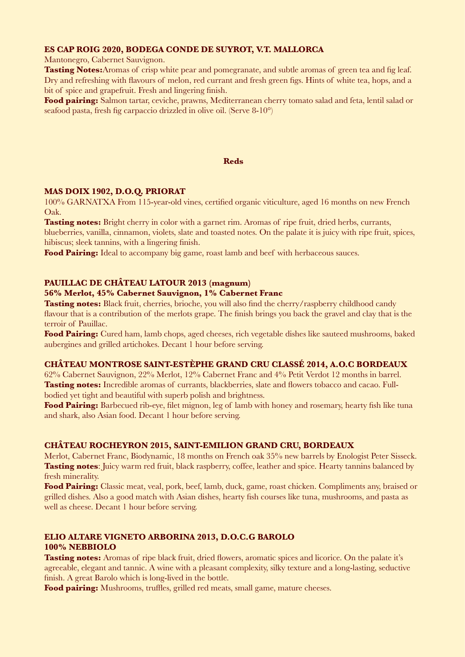#### **ES CAP ROIG 2020, BODEGA CONDE DE SUYROT, V.T. MALLORCA**

Mantonegro, Cabernet Sauvignon.

**Tasting Notes:**Aromas of crisp white pear and pomegranate, and subtle aromas of green tea and fig leaf. Dry and refreshing with flavours of melon, red currant and fresh green figs. Hints of white tea, hops, and a bit of spice and grapefruit. Fresh and lingering finish.

**Food pairing:** Salmon tartar, ceviche, prawns, Mediterranean cherry tomato salad and feta, lentil salad or seafood pasta, fresh fig carpaccio drizzled in olive oil. (Serve 8-10°)

#### **Reds**

### **MAS DOIX 1902, D.O.Q. PRIORAT**

100% GARNATXA From 115-year-old vines, certified organic viticulture, aged 16 months on new French Oak.

**Tasting notes:** Bright cherry in color with a garnet rim. Aromas of ripe fruit, dried herbs, currants, blueberries, vanilla, cinnamon, violets, slate and toasted notes. On the palate it is juicy with ripe fruit, spices, hibiscus; sleek tannins, with a lingering finish.

Food Pairing: Ideal to accompany big game, roast lamb and beef with herbaceous sauces.

### **PAUILLAC DE CHÂTEAU LATOUR 2013 (magnum)**

#### **56% Merlot, 45% Cabernet Sauvignon, 1% Cabernet Franc**

**Tasting notes:** Black fruit, cherries, brioche, you will also find the cherry/raspberry childhood candy flavour that is a contribution of the merlots grape. The finish brings you back the gravel and clay that is the terroir of Pauillac.

**Food Pairing:** Cured ham, lamb chops, aged cheeses, rich vegetable dishes like sauteed mushrooms, baked aubergines and grilled artichokes. Decant 1 hour before serving.

#### **CHÂTEAU MONTROSE SAINT-ESTÈPHE GRAND CRU CLASSÉ 2014, A.O.C BORDEAUX**

62% Cabernet Sauvignon, 22% Merlot, 12% Cabernet Franc and 4% Petit Verdot 12 months in barrel. **Tasting notes:** Incredible aromas of currants, blackberries, slate and flowers tobacco and cacao. Fullbodied yet tight and beautiful with superb polish and brightness.

**Food Pairing:** Barbecued rib-eye, filet mignon, leg of lamb with honey and rosemary, hearty fish like tuna and shark, also Asian food. Decant 1 hour before serving.

#### **CHÂTEAU ROCHEYRON 2015, SAINT-EMILION GRAND CRU, BORDEAUX**

Merlot, Cabernet Franc, Biodynamic, 18 months on French oak 35% new barrels by Enologist Peter Sisseck. **Tasting notes**: Juicy warm red fruit, black raspberry, coffee, leather and spice. Hearty tannins balanced by fresh minerality.

**Food Pairing:** Classic meat, veal, pork, beef, lamb, duck, game, roast chicken. Compliments any, braised or grilled dishes. Also a good match with Asian dishes, hearty fish courses like tuna, mushrooms, and pasta as well as cheese. Decant 1 hour before serving.

### **ELIO ALTARE VIGNETO ARBORINA 2013, D.O.C.G BAROLO 100% NEBBIOLO**

**Tasting notes:** Aromas of ripe black fruit, dried flowers, aromatic spices and licorice. On the palate it's agreeable, elegant and tannic. A wine with a pleasant complexity, silky texture and a long-lasting, seductive finish. A great Barolo which is long-lived in the bottle.

Food pairing: Mushrooms, truffles, grilled red meats, small game, mature cheeses.